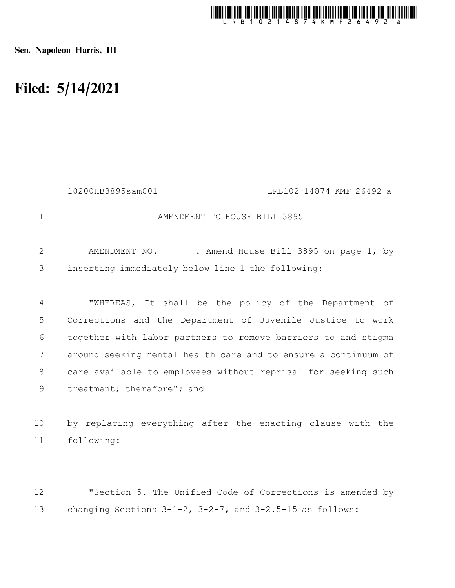

Sen. Napoleon Harris, III

## Filed: 5/14/2021

|             | 10200HB3895sam001<br>LRB102 14874 KMF 26492 a                                                            |
|-------------|----------------------------------------------------------------------------------------------------------|
| $\mathbf 1$ | AMENDMENT TO HOUSE BILL 3895                                                                             |
| 2<br>3      | AMENDMENT NO. . Amend House Bill 3895 on page 1, by<br>inserting immediately below line 1 the following: |
| 4           | "WHEREAS, It shall be the policy of the Department of                                                    |
| 5           | Corrections and the Department of Juvenile Justice to work                                               |
| 6           | together with labor partners to remove barriers to and stigma                                            |
| 7           | around seeking mental health care and to ensure a continuum of                                           |
| 8           | care available to employees without reprisal for seeking such                                            |
| 9           | treatment; therefore"; and                                                                               |
|             |                                                                                                          |
| 10          | by replacing everything after the enacting clause with the                                               |
| 11          | following:                                                                                               |
|             |                                                                                                          |
| 12          | "Section 5. The Unified Code of Corrections is amended by                                                |

changing Sections 3-1-2, 3-2-7, and 3-2.5-15 as follows: 13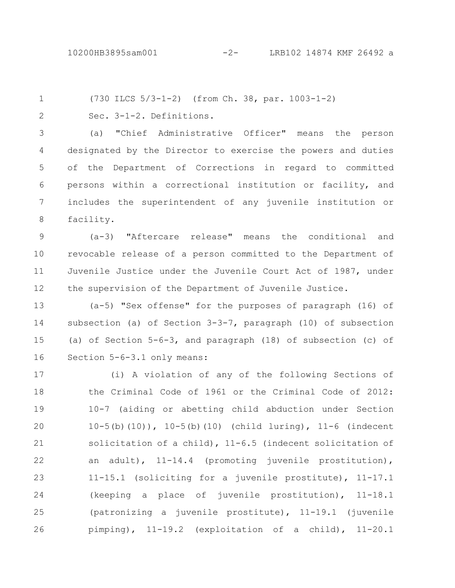1 2

(730 ILCS 5/3-1-2) (from Ch. 38, par. 1003-1-2)

Sec. 3-1-2. Definitions.

(a) "Chief Administrative Officer" means the person designated by the Director to exercise the powers and duties of the Department of Corrections in regard to committed persons within a correctional institution or facility, and includes the superintendent of any juvenile institution or facility. 3 4 5 6 7 8

(a-3) "Aftercare release" means the conditional and revocable release of a person committed to the Department of Juvenile Justice under the Juvenile Court Act of 1987, under the supervision of the Department of Juvenile Justice. 9 10 11 12

(a-5) "Sex offense" for the purposes of paragraph (16) of subsection (a) of Section 3-3-7, paragraph (10) of subsection (a) of Section 5-6-3, and paragraph (18) of subsection (c) of Section 5-6-3.1 only means: 13 14 15 16

(i) A violation of any of the following Sections of the Criminal Code of 1961 or the Criminal Code of 2012: 10-7 (aiding or abetting child abduction under Section 10-5(b)(10)), 10-5(b)(10) (child luring), 11-6 (indecent solicitation of a child), 11-6.5 (indecent solicitation of an adult), 11-14.4 (promoting juvenile prostitution), 11-15.1 (soliciting for a juvenile prostitute), 11-17.1 (keeping a place of juvenile prostitution), 11-18.1 (patronizing a juvenile prostitute), 11-19.1 (juvenile pimping), 11-19.2 (exploitation of a child), 11-20.1 17 18 19 20 21 22 23 24 25 26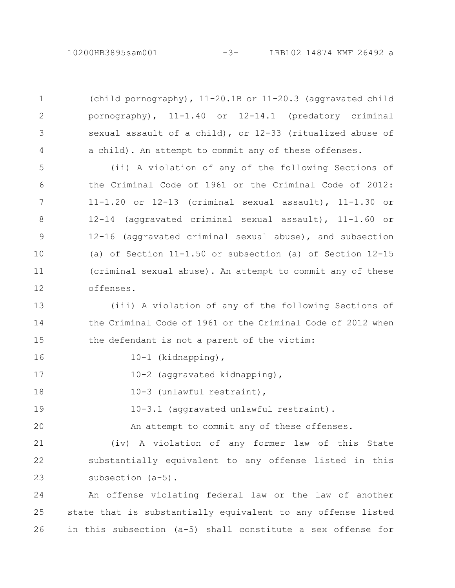(child pornography), 11-20.1B or 11-20.3 (aggravated child pornography), 11-1.40 or 12-14.1 (predatory criminal sexual assault of a child), or 12-33 (ritualized abuse of a child). An attempt to commit any of these offenses.

(ii) A violation of any of the following Sections of the Criminal Code of 1961 or the Criminal Code of 2012: 11-1.20 or 12-13 (criminal sexual assault), 11-1.30 or 12-14 (aggravated criminal sexual assault), 11-1.60 or 12-16 (aggravated criminal sexual abuse), and subsection (a) of Section 11-1.50 or subsection (a) of Section 12-15 (criminal sexual abuse). An attempt to commit any of these offenses. 5 6 7 8 9 10 11 12

(iii) A violation of any of the following Sections of the Criminal Code of 1961 or the Criminal Code of 2012 when the defendant is not a parent of the victim: 13 14 15

16

1

2

3

4

10-1 (kidnapping),

10-2 (aggravated kidnapping), 17

10-3 (unlawful restraint), 18

10-3.1 (aggravated unlawful restraint). 19

An attempt to commit any of these offenses. 20

(iv) A violation of any former law of this State substantially equivalent to any offense listed in this subsection (a-5). 21 22 23

An offense violating federal law or the law of another state that is substantially equivalent to any offense listed in this subsection (a-5) shall constitute a sex offense for 24 25 26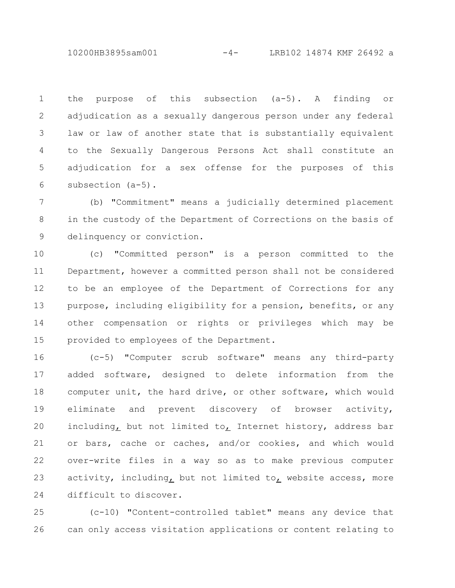10200HB3895sam001 -4- LRB102 14874 KMF 26492 a

the purpose of this subsection (a-5). A finding or adjudication as a sexually dangerous person under any federal law or law of another state that is substantially equivalent to the Sexually Dangerous Persons Act shall constitute an adjudication for a sex offense for the purposes of this subsection (a-5). 1 2 3 4 5 6

(b) "Commitment" means a judicially determined placement in the custody of the Department of Corrections on the basis of delinquency or conviction. 7 8 9

(c) "Committed person" is a person committed to the Department, however a committed person shall not be considered to be an employee of the Department of Corrections for any purpose, including eligibility for a pension, benefits, or any other compensation or rights or privileges which may be provided to employees of the Department. 10 11 12 13 14 15

(c-5) "Computer scrub software" means any third-party added software, designed to delete information from the computer unit, the hard drive, or other software, which would eliminate and prevent discovery of browser activity, including, but not limited to, Internet history, address bar or bars, cache or caches, and/or cookies, and which would over-write files in a way so as to make previous computer activity, including, but not limited to, website access, more difficult to discover. 16 17 18 19 20 21 22 23 24

(c-10) "Content-controlled tablet" means any device that can only access visitation applications or content relating to 25 26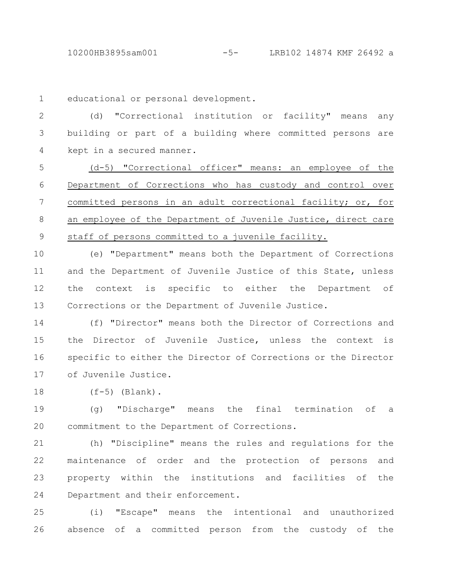10200HB3895sam001 -5- LRB102 14874 KMF 26492 a

educational or personal development. 1

(d) "Correctional institution or facility" means any building or part of a building where committed persons are kept in a secured manner. 2 3 4

(d-5) "Correctional officer" means: an employee of the Department of Corrections who has custody and control over committed persons in an adult correctional facility; or, for an employee of the Department of Juvenile Justice, direct care staff of persons committed to a juvenile facility. 5 6 7 8 9

(e) "Department" means both the Department of Corrections and the Department of Juvenile Justice of this State, unless the context is specific to either the Department of Corrections or the Department of Juvenile Justice. 10 11 12 13

(f) "Director" means both the Director of Corrections and the Director of Juvenile Justice, unless the context is specific to either the Director of Corrections or the Director of Juvenile Justice. 14 15 16 17

(f-5) (Blank). 18

(g) "Discharge" means the final termination of a commitment to the Department of Corrections. 19 20

(h) "Discipline" means the rules and regulations for the maintenance of order and the protection of persons and property within the institutions and facilities of the Department and their enforcement. 21 22 23 24

(i) "Escape" means the intentional and unauthorized absence of a committed person from the custody of the 25 26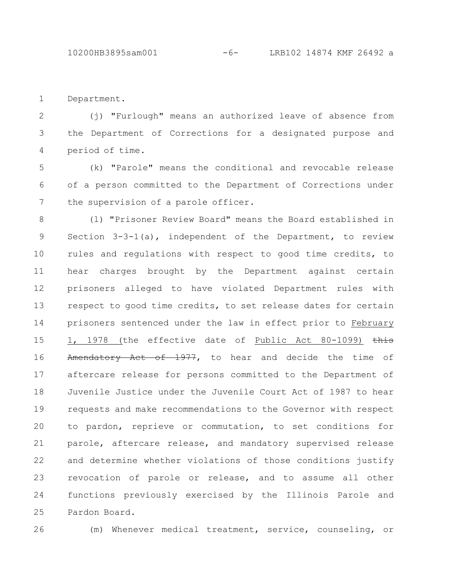Department. 1

(j) "Furlough" means an authorized leave of absence from the Department of Corrections for a designated purpose and period of time. 2 3 4

(k) "Parole" means the conditional and revocable release of a person committed to the Department of Corrections under the supervision of a parole officer. 5 6 7

(l) "Prisoner Review Board" means the Board established in Section 3-3-1(a), independent of the Department, to review rules and regulations with respect to good time credits, to hear charges brought by the Department against certain prisoners alleged to have violated Department rules with respect to good time credits, to set release dates for certain prisoners sentenced under the law in effect prior to February 1, 1978 (the effective date of Public Act 80-1099) this Amendatory Act of 1977, to hear and decide the time of aftercare release for persons committed to the Department of Juvenile Justice under the Juvenile Court Act of 1987 to hear requests and make recommendations to the Governor with respect to pardon, reprieve or commutation, to set conditions for parole, aftercare release, and mandatory supervised release and determine whether violations of those conditions justify revocation of parole or release, and to assume all other functions previously exercised by the Illinois Parole and Pardon Board. 8 9 10 11 12 13 14 15 16 17 18 19 20 21 22 23 24 25

26

(m) Whenever medical treatment, service, counseling, or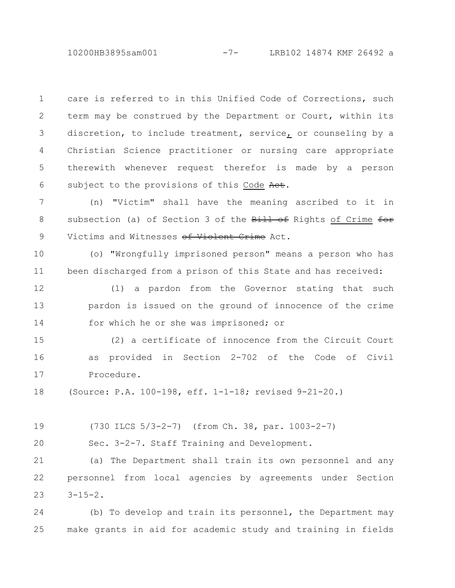10200HB3895sam001 -7- LRB102 14874 KMF 26492 a

care is referred to in this Unified Code of Corrections, such term may be construed by the Department or Court, within its discretion, to include treatment, service, or counseling by a Christian Science practitioner or nursing care appropriate therewith whenever request therefor is made by a person subject to the provisions of this Code Act. 1 2 3 4 5 6

(n) "Victim" shall have the meaning ascribed to it in subsection (a) of Section 3 of the Bill of Rights of Crime for Victims and Witnesses of Violent Crime Act. 7 8 9

(o) "Wrongfully imprisoned person" means a person who has been discharged from a prison of this State and has received: 10 11

(1) a pardon from the Governor stating that such pardon is issued on the ground of innocence of the crime for which he or she was imprisoned; or 12 13 14

(2) a certificate of innocence from the Circuit Court as provided in Section 2-702 of the Code of Civil Procedure. 15 16 17

(Source: P.A. 100-198, eff. 1-1-18; revised 9-21-20.) 18

(730 ILCS 5/3-2-7) (from Ch. 38, par. 1003-2-7) 19

Sec. 3-2-7. Staff Training and Development.  $20$ 

(a) The Department shall train its own personnel and any personnel from local agencies by agreements under Section  $3 - 15 - 2$ . 21 22 23

(b) To develop and train its personnel, the Department may make grants in aid for academic study and training in fields 24 25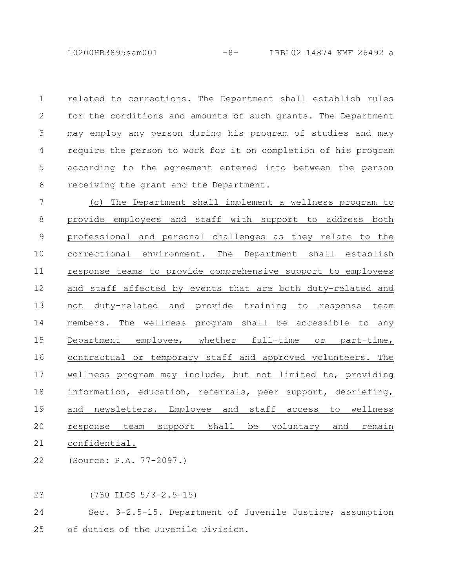10200HB3895sam001 -8- LRB102 14874 KMF 26492 a

related to corrections. The Department shall establish rules for the conditions and amounts of such grants. The Department may employ any person during his program of studies and may require the person to work for it on completion of his program according to the agreement entered into between the person receiving the grant and the Department. 1 2 3 4 5 6

(c) The Department shall implement a wellness program to provide employees and staff with support to address both professional and personal challenges as they relate to the correctional environment. The Department shall establish response teams to provide comprehensive support to employees and staff affected by events that are both duty-related and not duty-related and provide training to response team members. The wellness program shall be accessible to any Department employee, whether full-time or part-time, contractual or temporary staff and approved volunteers. The wellness program may include, but not limited to, providing information, education, referrals, peer support, debriefing, and newsletters. Employee and staff access to wellness response team support shall be voluntary and remain confidential. 7 8 9 10 11 12 13 14 15 16 17 18 19 20 21

(Source: P.A. 77-2097.) 22

(730 ILCS 5/3-2.5-15) 23

Sec. 3-2.5-15. Department of Juvenile Justice; assumption of duties of the Juvenile Division. 24 25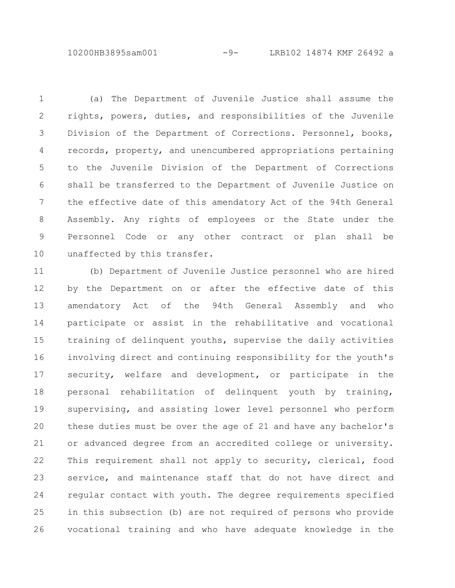10200HB3895sam001 -9- LRB102 14874 KMF 26492 a

(a) The Department of Juvenile Justice shall assume the rights, powers, duties, and responsibilities of the Juvenile Division of the Department of Corrections. Personnel, books, records, property, and unencumbered appropriations pertaining to the Juvenile Division of the Department of Corrections shall be transferred to the Department of Juvenile Justice on the effective date of this amendatory Act of the 94th General Assembly. Any rights of employees or the State under the Personnel Code or any other contract or plan shall be unaffected by this transfer. 1 2 3 4 5 6 7 8 9 10

(b) Department of Juvenile Justice personnel who are hired by the Department on or after the effective date of this amendatory Act of the 94th General Assembly and who participate or assist in the rehabilitative and vocational training of delinquent youths, supervise the daily activities involving direct and continuing responsibility for the youth's security, welfare and development, or participate in the personal rehabilitation of delinquent youth by training, supervising, and assisting lower level personnel who perform these duties must be over the age of 21 and have any bachelor's or advanced degree from an accredited college or university. This requirement shall not apply to security, clerical, food service, and maintenance staff that do not have direct and regular contact with youth. The degree requirements specified in this subsection (b) are not required of persons who provide vocational training and who have adequate knowledge in the 11 12 13 14 15 16 17 18 19 20 21 22 23 24 25 26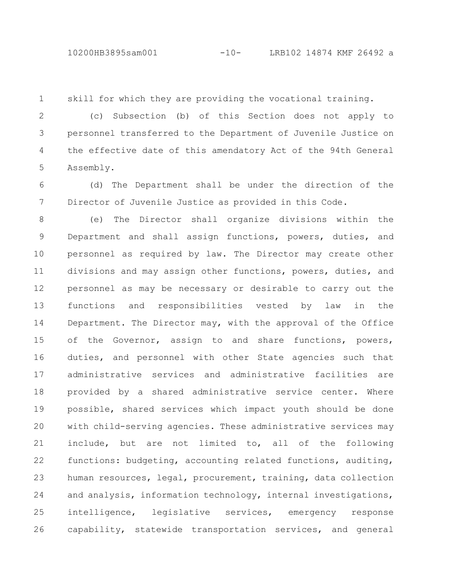## 10200HB3895sam001 -10- LRB102 14874 KMF 26492 a

skill for which they are providing the vocational training. 1

(c) Subsection (b) of this Section does not apply to personnel transferred to the Department of Juvenile Justice on the effective date of this amendatory Act of the 94th General Assembly. 2 3 4 5

(d) The Department shall be under the direction of the Director of Juvenile Justice as provided in this Code. 6 7

(e) The Director shall organize divisions within the Department and shall assign functions, powers, duties, and personnel as required by law. The Director may create other divisions and may assign other functions, powers, duties, and personnel as may be necessary or desirable to carry out the functions and responsibilities vested by law in the Department. The Director may, with the approval of the Office of the Governor, assign to and share functions, powers, duties, and personnel with other State agencies such that administrative services and administrative facilities are provided by a shared administrative service center. Where possible, shared services which impact youth should be done with child-serving agencies. These administrative services may include, but are not limited to, all of the following functions: budgeting, accounting related functions, auditing, human resources, legal, procurement, training, data collection and analysis, information technology, internal investigations, intelligence, legislative services, emergency response capability, statewide transportation services, and general 8 9 10 11 12 13 14 15 16 17 18 19 20 21 22 23 24 25 26